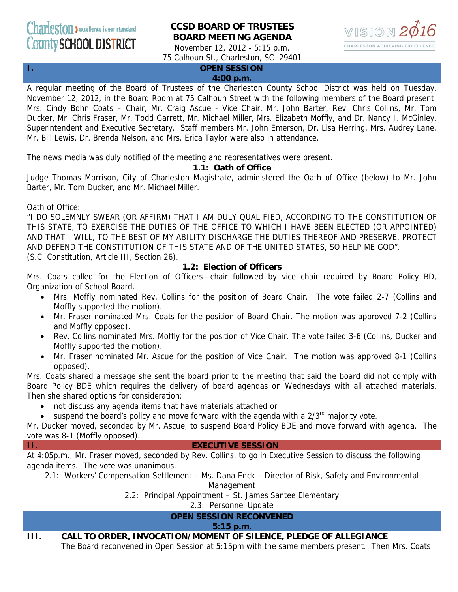# **CCSD BOARD OF TRUSTEES BOARD MEETING AGENDA**



November 12, 2012 - 5:15 p.m. 75 Calhoun St., Charleston, SC 29401

## **I. OPEN SESSION**

#### **4:00 p.m.**

A regular meeting of the Board of Trustees of the Charleston County School District was held on Tuesday, November 12, 2012, in the Board Room at 75 Calhoun Street with the following members of the Board present: Mrs. Cindy Bohn Coats – Chair, Mr. Craig Ascue - Vice Chair, Mr. John Barter, Rev. Chris Collins, Mr. Tom Ducker, Mr. Chris Fraser, Mr. Todd Garrett, Mr. Michael Miller, Mrs. Elizabeth Moffly, and Dr. Nancy J. McGinley, Superintendent and Executive Secretary. Staff members Mr. John Emerson, Dr. Lisa Herring, Mrs. Audrey Lane, Mr. Bill Lewis, Dr. Brenda Nelson, and Mrs. Erica Taylor were also in attendance.

The news media was duly notified of the meeting and representatives were present.

#### **1.1: Oath of Office**

Judge Thomas Morrison, City of Charleston Magistrate, administered the Oath of Office (below) to Mr. John Barter, Mr. Tom Ducker, and Mr. Michael Miller.

Oath of Office:

"I DO SOLEMNLY SWEAR (OR AFFIRM) THAT I AM DULY QUALIFIED, ACCORDING TO THE CONSTITUTION OF THIS STATE, TO EXERCISE THE DUTIES OF THE OFFICE TO WHICH I HAVE BEEN ELECTED (OR APPOINTED) AND THAT I WILL, TO THE BEST OF MY ABILITY DISCHARGE THE DUTIES THEREOF AND PRESERVE, PROTECT AND DEFEND THE CONSTITUTION OF THIS STATE AND OF THE UNITED STATES, SO HELP ME GOD". (S.C. Constitution, Article III, Section 26).

#### **1.2: Election of Officers**

Mrs. Coats called for the Election of Officers—chair followed by vice chair required by Board Policy BD, Organization of School Board.

- Mrs. Moffly nominated Rev. Collins for the position of Board Chair. The vote failed 2-7 (Collins and Moffly supported the motion).
- Mr. Fraser nominated Mrs. Coats for the position of Board Chair. The motion was approved 7-2 (Collins and Moffly opposed).
- Rev. Collins nominated Mrs. Moffly for the position of Vice Chair. The vote failed 3-6 (Collins, Ducker and Moffly supported the motion).
- Mr. Fraser nominated Mr. Ascue for the position of Vice Chair. The motion was approved 8-1 (Collins opposed).

Mrs. Coats shared a message she sent the board prior to the meeting that said the board did not comply with Board Policy BDE which requires the delivery of board agendas on Wednesdays with all attached materials. Then she shared options for consideration:

- not discuss any agenda items that have materials attached or
- suspend the board's policy and move forward with the agenda with a  $2/3<sup>rd</sup>$  majority vote.

Mr. Ducker moved, seconded by Mr. Ascue, to suspend Board Policy BDE and move forward with agenda. The vote was 8-1 (Moffly opposed).

#### **II. EXECUTIVE SESSION**

At 4:05p.m., Mr. Fraser moved, seconded by Rev. Collins, to go in Executive Session to discuss the following agenda items. The vote was unanimous.

2.1: Workers' Compensation Settlement – Ms. Dana Enck – Director of Risk, Safety and Environmental

Management

2.2: Principal Appointment – St. James Santee Elementary

2.3: Personnel Update

# **OPEN SESSION RECONVENED**

#### **5:15 p.m.**

## **III. CALL TO ORDER, INVOCATION/MOMENT OF SILENCE, PLEDGE OF ALLEGIANCE**

The Board reconvened in Open Session at 5:15pm with the same members present. Then Mrs. Coats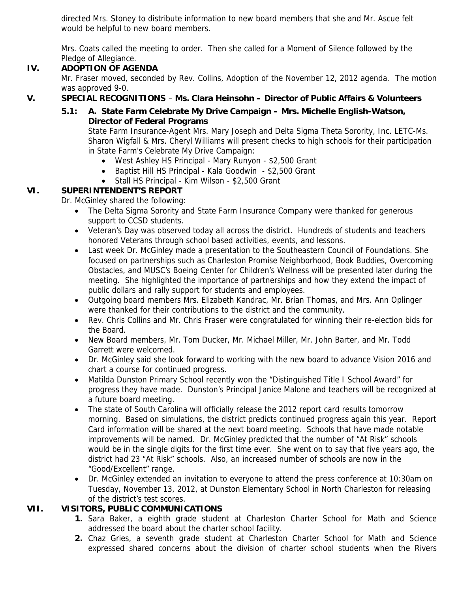directed Mrs. Stoney to distribute information to new board members that she and Mr. Ascue felt would be helpful to new board members.

Mrs. Coats called the meeting to order. Then she called for a Moment of Silence followed by the Pledge of Allegiance.

## **IV. ADOPTION OF AGENDA**

Mr. Fraser moved, seconded by Rev. Collins, Adoption of the November 12, 2012 agenda. The motion was approved 9-0.

# **V. SPECIAL RECOGNITIONS** – **Ms. Clara Heinsohn – Director of Public Affairs & Volunteers**

# **5.1: A. State Farm Celebrate My Drive Campaign – Mrs. Michelle English-Watson, Director of Federal Programs**

State Farm Insurance-Agent Mrs. Mary Joseph and Delta Sigma Theta Sorority, Inc. LETC-Ms. Sharon Wigfall & Mrs. Cheryl Williams will present checks to high schools for their participation in State Farm's Celebrate My Drive Campaign:

- West Ashley HS Principal Mary Runyon \$2,500 Grant
- Baptist Hill HS Principal Kala Goodwin \$2,500 Grant
- Stall HS Principal Kim Wilson \$2,500 Grant

# **VI. SUPERINTENDENT'S REPORT**

Dr. McGinley shared the following:

- The Delta Sigma Sorority and State Farm Insurance Company were thanked for generous support to CCSD students.
- Veteran's Day was observed today all across the district. Hundreds of students and teachers honored Veterans through school based activities, events, and lessons.
- Last week Dr. McGinley made a presentation to the Southeastern Council of Foundations. She focused on partnerships such as Charleston Promise Neighborhood, Book Buddies, Overcoming Obstacles, and MUSC's Boeing Center for Children's Wellness will be presented later during the meeting. She highlighted the importance of partnerships and how they extend the impact of public dollars and rally support for students and employees.
- Outgoing board members Mrs. Elizabeth Kandrac, Mr. Brian Thomas, and Mrs. Ann Oplinger were thanked for their contributions to the district and the community.
- Rev. Chris Collins and Mr. Chris Fraser were congratulated for winning their re-election bids for the Board.
- New Board members, Mr. Tom Ducker, Mr. Michael Miller, Mr. John Barter, and Mr. Todd Garrett were welcomed.
- Dr. McGinley said she look forward to working with the new board to advance Vision 2016 and chart a course for continued progress.
- Matilda Dunston Primary School recently won the "Distinguished Title I School Award" for progress they have made. Dunston's Principal Janice Malone and teachers will be recognized at a future board meeting.
- The state of South Carolina will officially release the 2012 report card results tomorrow morning. Based on simulations, the district predicts continued progress again this year. Report Card information will be shared at the next board meeting. Schools that have made notable improvements will be named. Dr. McGinley predicted that the number of "At Risk" schools would be in the single digits for the first time ever. She went on to say that five years ago, the district had 23 "At Risk" schools. Also, an increased number of schools are now in the "Good/Excellent" range.
- Dr. McGinley extended an invitation to everyone to attend the press conference at 10:30am on Tuesday, November 13, 2012, at Dunston Elementary School in North Charleston for releasing of the district's test scores.

## **VII. VISITORS, PUBLIC COMMUNICATIONS**

- **1.** Sara Baker, a eighth grade student at Charleston Charter School for Math and Science addressed the board about the charter school facility.
- **2.** Chaz Gries, a seventh grade student at Charleston Charter School for Math and Science expressed shared concerns about the division of charter school students when the Rivers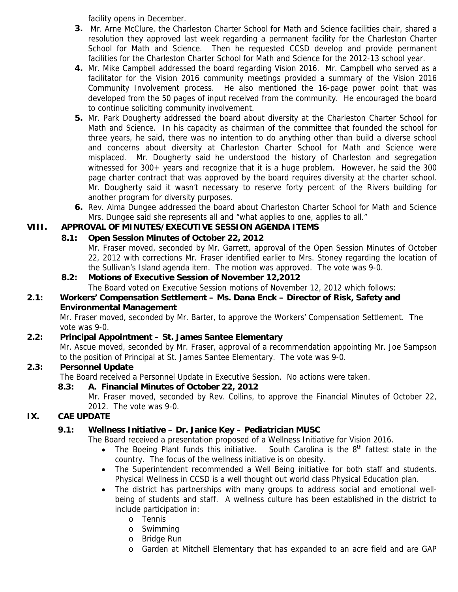facility opens in December.

- **3.** Mr. Arne McClure, the Charleston Charter School for Math and Science facilities chair, shared a resolution they approved last week regarding a permanent facility for the Charleston Charter School for Math and Science. Then he requested CCSD develop and provide permanent facilities for the Charleston Charter School for Math and Science for the 2012-13 school year.
- **4.** Mr. Mike Campbell addressed the board regarding Vision 2016. Mr. Campbell who served as a facilitator for the Vision 2016 community meetings provided a summary of the Vision 2016 Community Involvement process. He also mentioned the 16-page power point that was developed from the 50 pages of input received from the community. He encouraged the board to continue soliciting community involvement.
- **5.** Mr. Park Dougherty addressed the board about diversity at the Charleston Charter School for Math and Science. In his capacity as chairman of the committee that founded the school for three years, he said, there was no intention to do anything other than build a diverse school and concerns about diversity at Charleston Charter School for Math and Science were misplaced. Mr. Dougherty said he understood the history of Charleston and segregation witnessed for 300+ years and recognize that it is a huge problem. However, he said the 300 page charter contract that was approved by the board requires diversity at the charter school. Mr. Dougherty said it wasn't necessary to reserve forty percent of the Rivers building for another program for diversity purposes.
- **6.** Rev. Alma Dungee addressed the board about Charleston Charter School for Math and Science Mrs. Dungee said she represents all and "what applies to one, applies to all."

# **VIII. APPROVAL OF MINUTES/EXECUTIVE SESSION AGENDA ITEMS**

# **8.1: Open Session Minutes of October 22, 2012**

Mr. Fraser moved, seconded by Mr. Garrett, approval of the Open Session Minutes of October 22, 2012 with corrections Mr. Fraser identified earlier to Mrs. Stoney regarding the location of the Sullivan's Island agenda item. The motion was approved. The vote was 9-0.

# **8.2: Motions of Executive Session of November 12,2012**

The Board voted on Executive Session motions of November 12, 2012 which follows:

## **2.1: Workers' Compensation Settlement – Ms. Dana Enck – Director of Risk, Safety and Environmental Management**

Mr. Fraser moved, seconded by Mr. Barter, to approve the Workers' Compensation Settlement. The vote was 9-0.

## **2.2: Principal Appointment – St. James Santee Elementary**

Mr. Ascue moved, seconded by Mr. Fraser, approval of a recommendation appointing Mr. Joe Sampson to the position of Principal at St. James Santee Elementary. The vote was 9-0.

## **2.3: Personnel Update**

The Board received a Personnel Update in Executive Session. No actions were taken.

## **8.3: A. Financial Minutes of October 22, 2012**

Mr. Fraser moved, seconded by Rev. Collins, to approve the Financial Minutes of October 22, 2012. The vote was 9-0.

## **IX. CAE UPDATE**

## **9.1: Wellness Initiative – Dr. Janice Key – Pediatrician MUSC**

The Board received a presentation proposed of a Wellness Initiative for Vision 2016.

- The Boeing Plant funds this initiative. South Carolina is the  $8<sup>th</sup>$  fattest state in the country. The focus of the wellness initiative is on obesity.
- The Superintendent recommended a Well Being initiative for both staff and students. Physical Wellness in CCSD is a well thought out world class Physical Education plan.
- The district has partnerships with many groups to address social and emotional wellbeing of students and staff. A wellness culture has been established in the district to include participation in:
	- o Tennis
	- o Swimming
	- o Bridge Run
	- o Garden at Mitchell Elementary that has expanded to an acre field and are GAP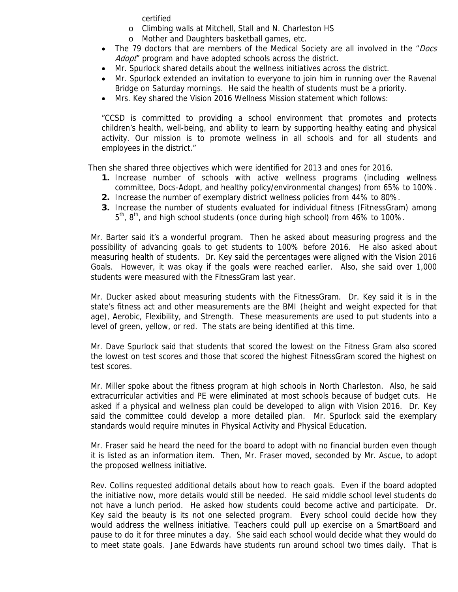certified

- o Climbing walls at Mitchell, Stall and N. Charleston HS
- o Mother and Daughters basketball games, etc.
- The 79 doctors that are members of the Medical Society are all involved in the "Docs" Adopt" program and have adopted schools across the district.
- Mr. Spurlock shared details about the wellness initiatives across the district.
- Mr. Spurlock extended an invitation to everyone to join him in running over the Ravenal Bridge on Saturday mornings. He said the health of students must be a priority.
- Mrs. Key shared the Vision 2016 Wellness Mission statement which follows:

"CCSD is committed to providing a school environment that promotes and protects children's health, well-being, and ability to learn by supporting healthy eating and physical activity. Our mission is to promote wellness in all schools and for all students and employees in the district."

Then she shared three objectives which were identified for 2013 and ones for 2016.

- **1.** Increase number of schools with active wellness programs (including wellness committee, Docs-Adopt, and healthy policy/environmental changes) from 65% to 100%.
- **2.** Increase the number of exemplary district wellness policies from 44% to 80%.
- **3.** Increase the number of students evaluated for individual fitness (FitnessGram) among 5<sup>th</sup>, 8<sup>th</sup>, and high school students (once during high school) from 46% to 100%.

Mr. Barter said it's a wonderful program. Then he asked about measuring progress and the possibility of advancing goals to get students to 100% before 2016. He also asked about measuring health of students. Dr. Key said the percentages were aligned with the Vision 2016 Goals. However, it was okay if the goals were reached earlier. Also, she said over 1,000 students were measured with the FitnessGram last year.

Mr. Ducker asked about measuring students with the FitnessGram. Dr. Key said it is in the state's fitness act and other measurements are the BMI (height and weight expected for that age), Aerobic, Flexibility, and Strength. These measurements are used to put students into a level of green, yellow, or red. The stats are being identified at this time.

Mr. Dave Spurlock said that students that scored the lowest on the Fitness Gram also scored the lowest on test scores and those that scored the highest FitnessGram scored the highest on test scores.

Mr. Miller spoke about the fitness program at high schools in North Charleston. Also, he said extracurricular activities and PE were eliminated at most schools because of budget cuts. He asked if a physical and wellness plan could be developed to align with Vision 2016. Dr. Key said the committee could develop a more detailed plan. Mr. Spurlock said the exemplary standards would require minutes in Physical Activity and Physical Education.

Mr. Fraser said he heard the need for the board to adopt with no financial burden even though it is listed as an information item. Then, Mr. Fraser moved, seconded by Mr. Ascue, to adopt the proposed wellness initiative.

Rev. Collins requested additional details about how to reach goals. Even if the board adopted the initiative now, more details would still be needed. He said middle school level students do not have a lunch period. He asked how students could become active and participate. Dr. Key said the beauty is its not one selected program. Every school could decide how they would address the wellness initiative. Teachers could pull up exercise on a SmartBoard and pause to do it for three minutes a day. She said each school would decide what they would do to meet state goals. Jane Edwards have students run around school two times daily. That is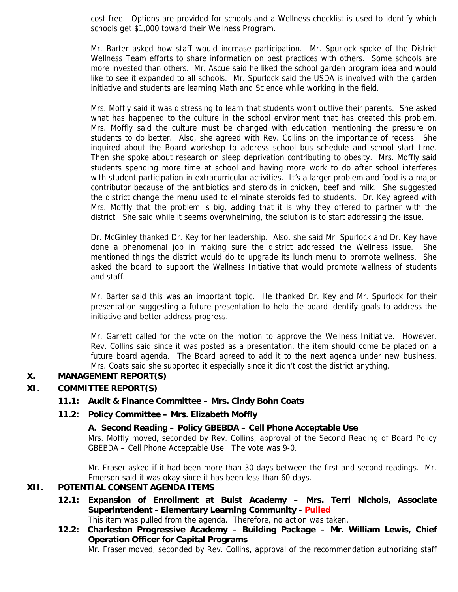cost free. Options are provided for schools and a Wellness checklist is used to identify which schools get \$1,000 toward their Wellness Program.

Mr. Barter asked how staff would increase participation. Mr. Spurlock spoke of the District Wellness Team efforts to share information on best practices with others. Some schools are more invested than others. Mr. Ascue said he liked the school garden program idea and would like to see it expanded to all schools. Mr. Spurlock said the USDA is involved with the garden initiative and students are learning Math and Science while working in the field.

Mrs. Moffly said it was distressing to learn that students won't outlive their parents. She asked what has happened to the culture in the school environment that has created this problem. Mrs. Moffly said the culture must be changed with education mentioning the pressure on students to do better. Also, she agreed with Rev. Collins on the importance of recess. She inquired about the Board workshop to address school bus schedule and school start time. Then she spoke about research on sleep deprivation contributing to obesity. Mrs. Moffly said students spending more time at school and having more work to do after school interferes with student participation in extracurricular activities. It's a larger problem and food is a major contributor because of the antibiotics and steroids in chicken, beef and milk. She suggested the district change the menu used to eliminate steroids fed to students. Dr. Key agreed with Mrs. Moffly that the problem is big, adding that it is why they offered to partner with the district. She said while it seems overwhelming, the solution is to start addressing the issue.

Dr. McGinley thanked Dr. Key for her leadership. Also, she said Mr. Spurlock and Dr. Key have done a phenomenal job in making sure the district addressed the Wellness issue. She mentioned things the district would do to upgrade its lunch menu to promote wellness. She asked the board to support the Wellness Initiative that would promote wellness of students and staff.

Mr. Barter said this was an important topic. He thanked Dr. Key and Mr. Spurlock for their presentation suggesting a future presentation to help the board identify goals to address the initiative and better address progress.

Mr. Garrett called for the vote on the motion to approve the Wellness Initiative. However, Rev. Collins said since it was posted as a presentation, the item should come be placed on a future board agenda. The Board agreed to add it to the next agenda under new business. Mrs. Coats said she supported it especially since it didn't cost the district anything.

#### **X. MANAGEMENT REPORT(S)**

#### **XI. COMMITTEE REPORT(S)**

#### **11.1: Audit & Finance Committee – Mrs. Cindy Bohn Coats**

#### **11.2: Policy Committee – Mrs. Elizabeth Moffly**

#### **A. Second Reading – Policy GBEBDA – Cell Phone Acceptable Use**

Mrs. Moffly moved, seconded by Rev. Collins, approval of the Second Reading of Board Policy GBEBDA – Cell Phone Acceptable Use. The vote was 9-0.

Mr. Fraser asked if it had been more than 30 days between the first and second readings. Mr. Emerson said it was okay since it has been less than 60 days.

#### **XII. POTENTIAL CONSENT AGENDA ITEMS**

- **12.1: Expansion of Enrollment at Buist Academy Mrs. Terri Nichols, Associate Superintendent - Elementary Learning Community - Pulled**  This item was pulled from the agenda. Therefore, no action was taken.
	-
- **12.2: Charleston Progressive Academy Building Package Mr. William Lewis, Chief Operation Officer for Capital Programs**

Mr. Fraser moved, seconded by Rev. Collins, approval of the recommendation authorizing staff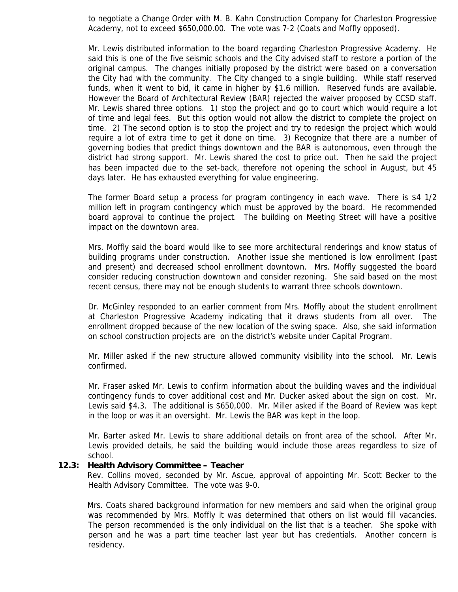to negotiate a Change Order with M. B. Kahn Construction Company for Charleston Progressive Academy, not to exceed \$650,000.00. The vote was 7-2 (Coats and Moffly opposed).

Mr. Lewis distributed information to the board regarding Charleston Progressive Academy. He said this is one of the five seismic schools and the City advised staff to restore a portion of the original campus. The changes initially proposed by the district were based on a conversation the City had with the community. The City changed to a single building. While staff reserved funds, when it went to bid, it came in higher by \$1.6 million. Reserved funds are available. However the Board of Architectural Review (BAR) rejected the waiver proposed by CCSD staff. Mr. Lewis shared three options. 1) stop the project and go to court which would require a lot of time and legal fees. But this option would not allow the district to complete the project on time. 2) The second option is to stop the project and try to redesign the project which would require a lot of extra time to get it done on time. 3) Recognize that there are a number of governing bodies that predict things downtown and the BAR is autonomous, even through the district had strong support. Mr. Lewis shared the cost to price out. Then he said the project has been impacted due to the set-back, therefore not opening the school in August, but 45 days later. He has exhausted everything for value engineering.

The former Board setup a process for program contingency in each wave. There is \$4 1/2 million left in program contingency which must be approved by the board. He recommended board approval to continue the project. The building on Meeting Street will have a positive impact on the downtown area.

Mrs. Moffly said the board would like to see more architectural renderings and know status of building programs under construction. Another issue she mentioned is low enrollment (past and present) and decreased school enrollment downtown. Mrs. Moffly suggested the board consider reducing construction downtown and consider rezoning. She said based on the most recent census, there may not be enough students to warrant three schools downtown.

Dr. McGinley responded to an earlier comment from Mrs. Moffly about the student enrollment at Charleston Progressive Academy indicating that it draws students from all over. The enrollment dropped because of the new location of the swing space. Also, she said information on school construction projects are on the district's website under Capital Program.

Mr. Miller asked if the new structure allowed community visibility into the school. Mr. Lewis confirmed.

Mr. Fraser asked Mr. Lewis to confirm information about the building waves and the individual contingency funds to cover additional cost and Mr. Ducker asked about the sign on cost. Mr. Lewis said \$4.3. The additional is \$650,000. Mr. Miller asked if the Board of Review was kept in the loop or was it an oversight. Mr. Lewis the BAR was kept in the loop.

Mr. Barter asked Mr. Lewis to share additional details on front area of the school. After Mr. Lewis provided details, he said the building would include those areas regardless to size of school.

#### **12.3: Health Advisory Committee – Teacher**

Rev. Collins moved, seconded by Mr. Ascue, approval of appointing Mr. Scott Becker to the Health Advisory Committee. The vote was 9-0.

Mrs. Coats shared background information for new members and said when the original group was recommended by Mrs. Moffly it was determined that others on list would fill vacancies. The person recommended is the only individual on the list that is a teacher. She spoke with person and he was a part time teacher last year but has credentials. Another concern is residency.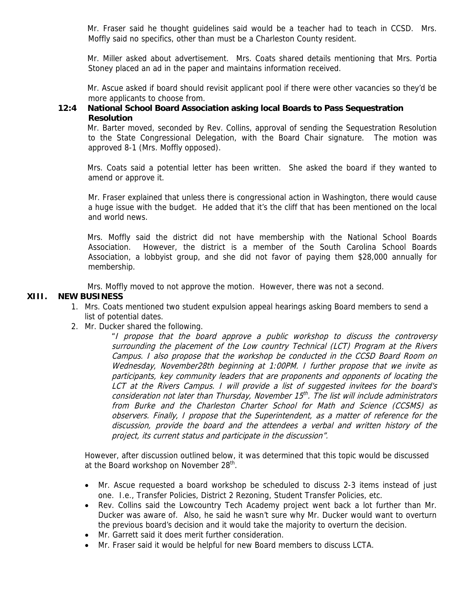Mr. Fraser said he thought guidelines said would be a teacher had to teach in CCSD. Mrs. Moffly said no specifics, other than must be a Charleston County resident.

Mr. Miller asked about advertisement. Mrs. Coats shared details mentioning that Mrs. Portia Stoney placed an ad in the paper and maintains information received.

Mr. Ascue asked if board should revisit applicant pool if there were other vacancies so they'd be more applicants to choose from.

#### **12:4 National School Board Association asking local Boards to Pass Sequestration Resolution**

Mr. Barter moved, seconded by Rev. Collins, approval of sending the Sequestration Resolution to the State Congressional Delegation, with the Board Chair signature. The motion was approved 8-1 (Mrs. Moffly opposed).

Mrs. Coats said a potential letter has been written. She asked the board if they wanted to amend or approve it.

Mr. Fraser explained that unless there is congressional action in Washington, there would cause a huge issue with the budget. He added that it's the cliff that has been mentioned on the local and world news.

Mrs. Moffly said the district did not have membership with the National School Boards Association. However, the district is a member of the South Carolina School Boards Association, a lobbyist group, and she did not favor of paying them \$28,000 annually for membership.

Mrs. Moffly moved to not approve the motion. However, there was not a second.

#### **XIII. NEW BUSINESS**

- 1. Mrs. Coats mentioned two student expulsion appeal hearings asking Board members to send a list of potential dates.
- 2. Mr. Ducker shared the following.

"I propose that the board approve a public workshop to discuss the controversy surrounding the placement of the Low country Technical (LCT) Program at the Rivers Campus. I also propose that the workshop be conducted in the CCSD Board Room on Wednesday, November28th beginning at 1:00PM. I further propose that we invite as participants, key community leaders that are proponents and opponents of locating the LCT at the Rivers Campus. I will provide a list of suggested invitees for the board's consideration not later than Thursday, November 15<sup>th</sup>. The list will include administrators from Burke and the Charleston Charter School for Math and Science (CCSMS) as observers. Finally, I propose that the Superintendent, as a matter of reference for the discussion, provide the board and the attendees a verbal and written history of the project, its current status and participate in the discussion".

However, after discussion outlined below, it was determined that this topic would be discussed at the Board workshop on November 28<sup>th</sup>.

- Mr. Ascue requested a board workshop be scheduled to discuss 2-3 items instead of just one. I.e., Transfer Policies, District 2 Rezoning, Student Transfer Policies, etc.
- Rev. Collins said the Lowcountry Tech Academy project went back a lot further than Mr. Ducker was aware of. Also, he said he wasn't sure why Mr. Ducker would want to overturn the previous board's decision and it would take the majority to overturn the decision.
- Mr. Garrett said it does merit further consideration.
- Mr. Fraser said it would be helpful for new Board members to discuss LCTA.